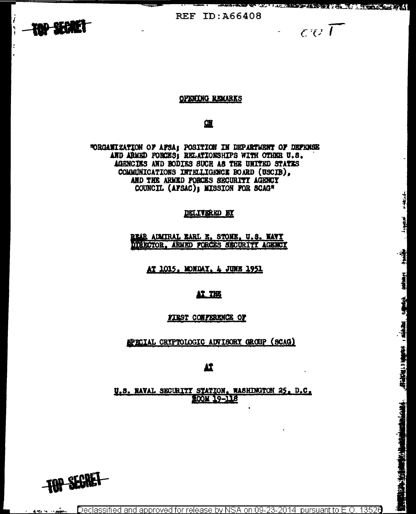

 $-\epsilon v T$ 

**H-Macades** 

**FARITRA** 

**地图 地名美国** 

经通道 计编码 (图

**PROPERTY AND AND PARTY OF ALL AND CALL PART** 

#### **OPENING REMARKS**

## 篮

"ORGANIZATION OF APSA; POSITION IN DEPARTMENT OF DEPENSE AND ARMED FORCES; RELATIONSHIPS WITH OTHER U.S. AGENCIES AND BODIES SUCH AS THE UNITED STATES COMMINICATIONS INTELLIGENCE BOARD (USCIB). AND THE ARMED FORCES SECURITY AGENCY COUNCIL (AFSAC); MISSION FOR SCAG"

### **DELIVERED BY**

REAR ADMIRAL EARL E. STONE, U.S. NAVY DIRECTOR. ARMED FORCES SECURITY AGENCY

AT 1015. MONDAY, 4 JUNE 1951

## AT THE

FIRST CONFERENCE OF

EPECIAL CRYPTOLOGIC ADVISORY GROUP (SCAG)

12

U.S. NAVAL SECURITY STATION, WASHINGTON 25, D.C. ROOM 19-118

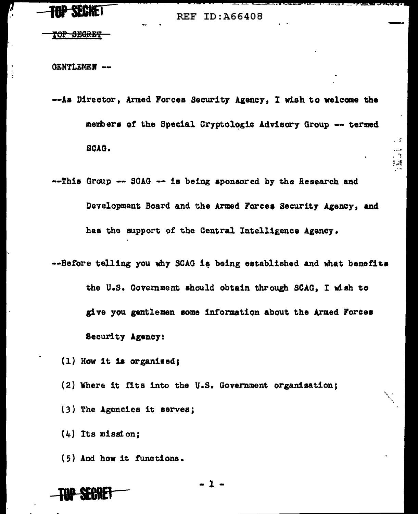# **PSEERE!**

**REF ID: A66408** 

<del>rop obgret</del>

**GENTLEMEN --**

-- As Director, Armed Forces Security Agency, I wish to welcome the members of the Special Cryptologic Advisory Group -- termed SCAG.

. ÷

 $\mathcal{A}$ ‡نے 2

- --This Group -- SCAG -- is being sponsored by the Research and Development Board and the Armed Forces Security Agency, and has the support of the Central Intelligence Agency.
- --Before telling you why SCAG is being established and what benefits the U.S. Government should obtain through SCAG, I wish to give you gentlemen some information about the Armed Forces Security Agency:
	- $(1)$  How it is organized:
	- (2) Where it fits into the U.S. Government organization;
	- (3) The Agencies it serves;
	- $(4)$  Its mission;
	- (5) And how it functions.



-1-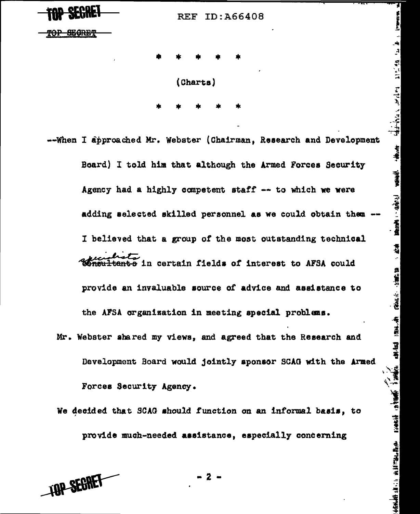**WBlil** REF ID:A66408

7

 $\frac{1}{2}$ 

استان الأفرانية المتعامل المتحد والأولية المجاملة<br>مصادرة الأفرانية المتحدة المتحدة الأولية المجاملة

+#

E.

 $\mathbf{R}$  and  $\mathbf{R}$  . The same  $\mathbf{R}$  is the space of  $\mathbf{R}$ 

每、读四 一 百 三 五

<u>standaria aristra Brance a sanachi sheman shugar</u>

<del>TOP SEGRET</del>

• \* • • • (Charts) • • • • \*

·-When I approached Mr. Webster (Chairman, Research and Development Board) I told him that although the Armed Forces Security Agency had a highly competent staff  $-$  to which we were adding selected skilled personnel as we could obtain them I believed that a group of the most outstanding technical tanto in certain fields of interest to AFSA could provide an invaluable source of advice and assistance to the APSA organisation in meeting special problana.

- Mr. Webster shared my views, and agreed that the Research and Development Board would jointly aponeor SCAO with the Armed Forcee Security Agency.
- We decided that SCAG should function on an informal basis, to provide much-needed aaeistance, especially concerning

**TOP SEGRET** 

- 2 -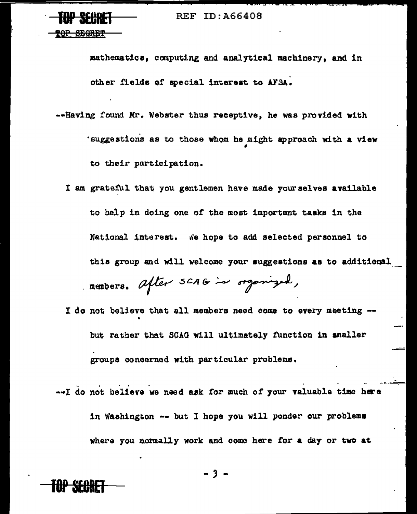mathematics, computing and analytical machinery, and in other fields of special interest to AFSA.

- --Having found Mr. Webster thus receptive, he was provided with 'suggestions as to those whom he might approach with a view to their participation.
	- I am grateful that you gentlemen have made your selves available to help in doing one of the most important tasks in the National interest. We hope to add selected personnel to this group and will welcome your suggestions as to additional members. after SCAG in organized,
	- I do not believe that all members need come to every meeting -but rather that SCAG will ultimately function in smaller groups concerned with particular problems.
- --I do not believe we need ask for much of your valuable time here in Washington -- but I hope you will ponder our problems where you normally work and come here for a day or two at

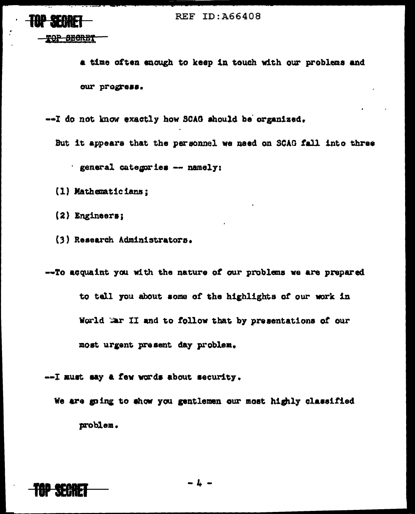

TOP BECRET

a time often enough to keep in touch with our problems and our progress.

--I do not know exactly how SCAG should be organized.

But it appears that the personnel we need on SCAG fall into three ' general categories -- namely:

(1) Mathematicians;

 $(2)$  Engineers;

(3) Research Administrators.

--To acquaint you with the nature of our problems we are prepared to tell you about some of the highlights of our work in World War II and to follow that by presentations of our most urgent present day problem.

--- I must say a few words about security.

We are going to show you gentlemen our most highly classified problem.

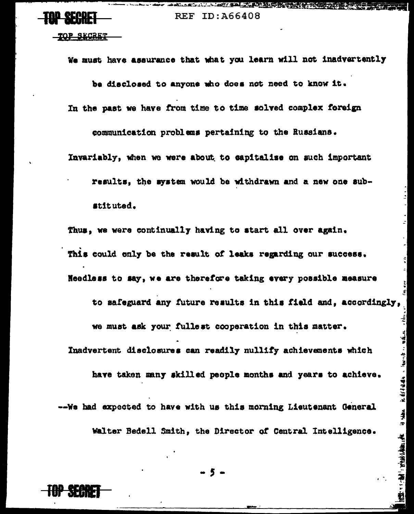AND AND ALL AND AND THE THE RESIDENCE OF THE CONTRACTORS OF THE CONTRACTORS OF THE CONTRACTORS OF THE CONTRACTORS

<u>TOP SECRET</u>

We must have assurance that what you learn will not inadvertently

be disclosed to anyone who does not need to know it.

In the past we have from time to time solved complex foreign

communication problems pertaining to the Russians.

Invariably, when we were about to capitalize on such important

results, the system would be withdrawn and a new one substituted.

Thus, we were continually having to start all over again. This could only be the result of leaks regarding our success. Needless to say, we are therefore taking every possible measure to safeguard any future results in this field and, accordingly,

 $\frac{1}{2}$  $\frac{1}{\sqrt{2}}$ 

fail aver

it skins, it fyfilding a fam at making y til as

 $11/3$   $1/2$   $1/2/3$   $1/4$   $1/4$ 

Inadvertent disclosures can readily nullify achievements which

we must ask your fullest cooperation in this matter.

have taken many skilled people months and years to achieve.

--We had expected to have with us this morning Lieutenant General

Walter Bedell Smith, the Director of Central Intelligence.

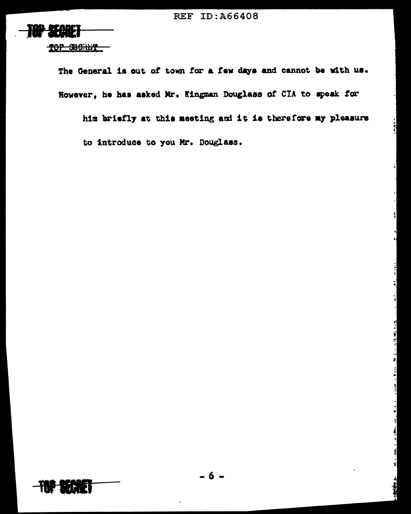

The General is out of town for a few days and cannot be with us. However, he has asked Mr. Kingman Douglass of CIA to speak for

him briefly at this meeting and it is therefore my pleasure to introduce to you Mr. Douglass.



Maria e de Mercego

f 1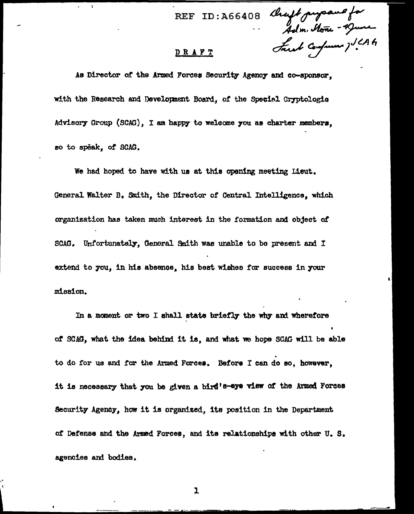ID: A66408 Cheft propand for<br>Adm. None - 19ume<br>EI Fust Confanne ) 1.646  $REF$ 

## <u>DRAFT</u>

As Director of the Armed Forces Security Agency and co-sponsor. with the Research and Development Board, of the Special Cryptologic Advisory Group (SCAG), I am happy to welcome you as charter members. so to speak, of SCAG.

We had hoped to have with us at this opening meeting Lieut. General Walter B. Smith, the Director of Central Intelligence, which organization has taken much interest in the formation and object of SCAG. Unfortunately. General Smith was unable to be present and I extend to you, in his absence, his best wishes for success in your mission.

In a moment or two I shall state briefly the why and wherefore of SCAG, what the idea behind it is, and what we hope SCAG will be able to do for us and for the Armed Forces. Before I can do so, however. it is necessary that you be given a bird's-eye view of the Armed Forces Security Agency, how it is organized, its position in the Department of Defense and the Armed Forces, and its relationships with other U.S. agencies and bodies.

1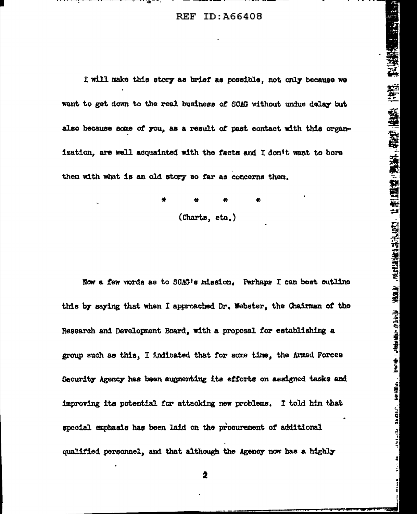I will make this story as brief as possible, not only because we want to get down to the real business of SCAG without undue delay but also because some of you, as a result of past contact with this organization, are well acquainted with the facts and I don't want to bore them with what is an old story so far as concerns them.

 $(Charts, eta.)$ 

Now a few words as to SOAG's mission. Perhaps I can best outline this by saying that when I approached Dr. Webster, the Chairman of the Research and Development Board, with a proposal for establishing a group such as this. I indicated that for some time, the Armed Forces Security Agency has been augmenting its efforts on assigned tasks and improving its potential for attacking new problems. I told him that special emphasis has been laid on the procurement of additional qualified personnel, and that although the Agency now has a highly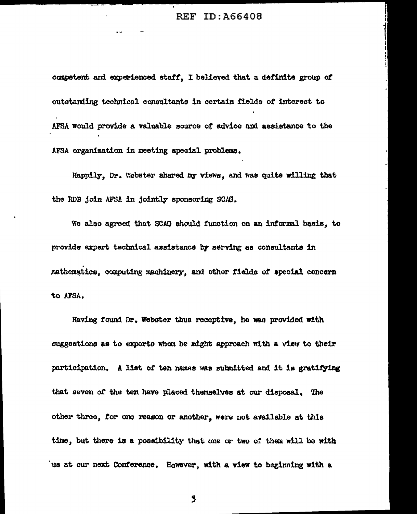competent and experienced staff, I believed that a definite group of outstanding technical consultants in certain fields of interest to AFSA would provide a valuable source of advice and assistance to the AFSA organization in meeting special problems.

Happily, Dr. Webster shared my views, and was quite willing that the RDB join AFSA in jointly sponsoring SCAG.

We also agreed that SCAG should function on an informal basis, to provide expert technical assistance by serving as consultants in mathematics, computing machinery, and other fields of special concern to AFSA.

Having found Dr. Webster thus receptive, he was provided with suggestions as to experts whom he might approach with a view to their participation. A list of ten names was submitted and it is gratifying that seven of the ten have placed themselves at our disposal. The other three, for one reason or another, were not available at this time, but there is a possibility that one or two of them will be with us at our next Conference. However, with a view to beginning with a

,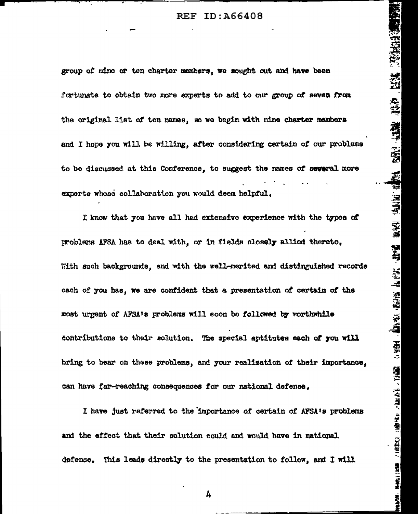group of nino or ten charter members, we sought out and have been fortunate to obtain two more experts to add to our group of seven from the original list of ten names, so we begin with nine charter members and I hope you will be willing, after considering certain of our problems to be discussed at this Conference, to suggest the names of several more experts whose collaboration you would deem helpful.

I know that you have all had extensive experience with the types of problems AFSA has to deal with, or in fields closely allied thereto. With such backgrounds, and with the well-merited and distinguished records each of you has, we are confident that a presentation of certain of the most urgent of AFSA's problems will soon be followed by vorthwhile contributions to their solution. The special aptitutes each of you will bring to bear on these problems, and your realization of their importance. can have far-reaching consequences for our national defense.

I have just referred to the importance of certain of AFSA's problems and the effect that their solution could and would have in national. defense. This leads directly to the presentation to follow, and I will

4